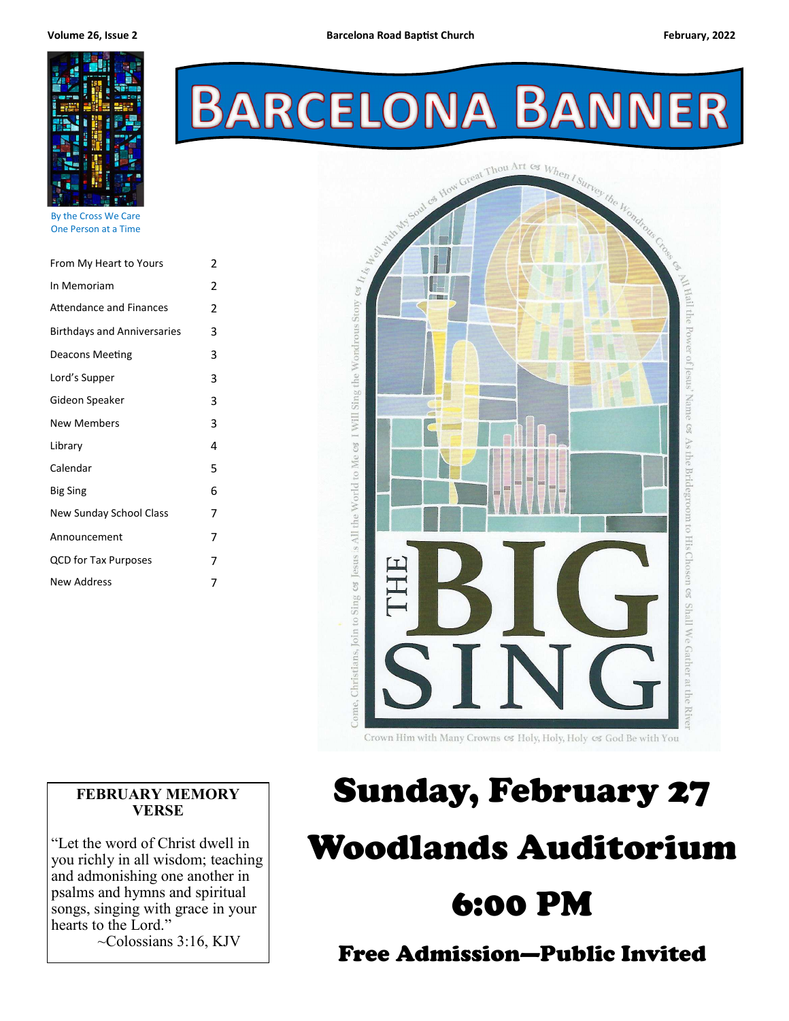

By the Cross We Care One Person at a Time

| From My Heart to Yours             | 2 |  |
|------------------------------------|---|--|
| In Memoriam                        | 2 |  |
| <b>Attendance and Finances</b>     | 2 |  |
| <b>Birthdays and Anniversaries</b> | 3 |  |
| Deacons Meeting                    | 3 |  |
| Lord's Supper                      | 3 |  |
| Gideon Speaker                     | 3 |  |
| <b>New Members</b>                 | 3 |  |
| Library                            | 4 |  |
| Calendar                           | 5 |  |
| <b>Big Sing</b>                    | 6 |  |
| New Sunday School Class            | 7 |  |
| Announcement                       | 7 |  |
| <b>QCD for Tax Purposes</b>        | 7 |  |
| New Address                        | 7 |  |
|                                    |   |  |

# **BARCELONA BANNER**



#### **FEBRUARY MEMORY VERSE**

"Let the word of Christ dwell in you richly in all wisdom; teaching and admonishing one another in psalms and hymns and spiritual songs, singing with grace in your hearts to the Lord."

~Colossians 3:16, KJV

# Sunday, February 27 Woodlands Auditorium 6:00 PM

Free Admission—Public Invited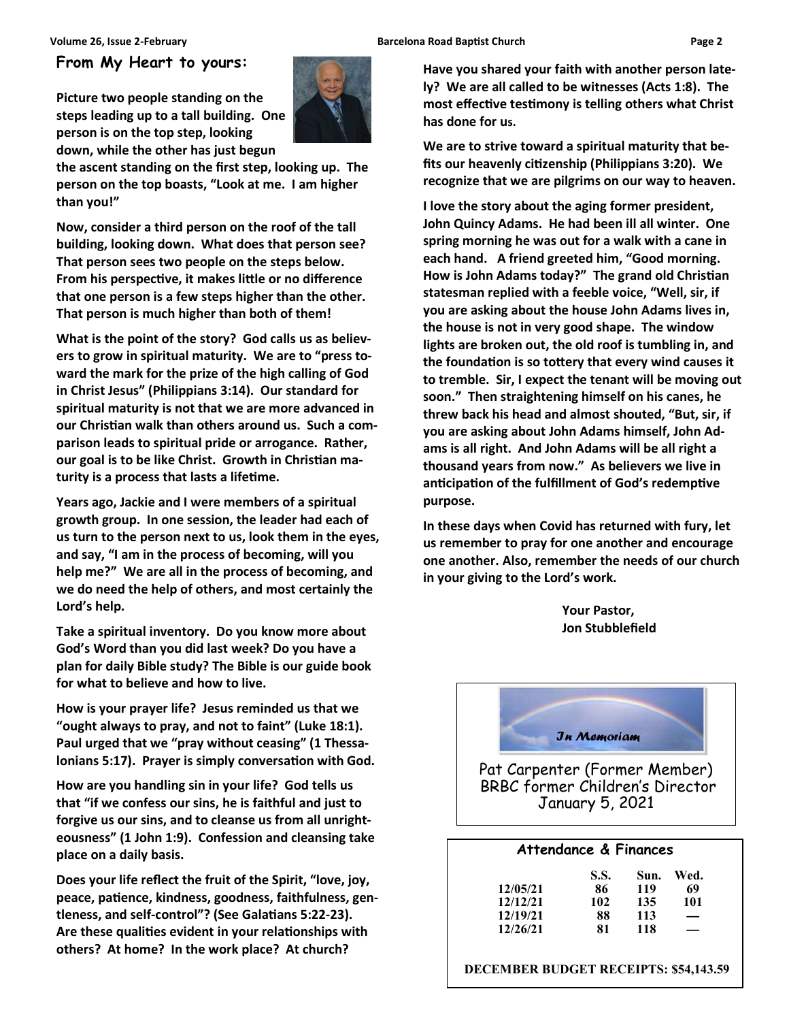#### **Volume 26, Issue 2-February Channel Barcelona Road Baptist Church Church Page 2 <b>Page 2 Page 2**

#### **From My Heart to yours:**

**Picture two people standing on the steps leading up to a tall building. One person is on the top step, looking down, while the other has just begun** 



**the ascent standing on the first step, looking up. The person on the top boasts, "Look at me. I am higher than you!"** 

**Now, consider a third person on the roof of the tall building, looking down. What does that person see? That person sees two people on the steps below. From his perspective, it makes little or no difference that one person is a few steps higher than the other. That person is much higher than both of them!** 

**What is the point of the story? God calls us as believers to grow in spiritual maturity. We are to "press toward the mark for the prize of the high calling of God in Christ Jesus" (Philippians 3:14). Our standard for spiritual maturity is not that we are more advanced in**  our Christian walk than others around us. Such a com**parison leads to spiritual pride or arrogance. Rather,**  our goal is to be like Christ. Growth in Christian maturity is a process that lasts a lifetime.

**Years ago, Jackie and I were members of a spiritual growth group. In one session, the leader had each of us turn to the person next to us, look them in the eyes, and say, "I am in the process of becoming, will you help me?" We are all in the process of becoming, and we do need the help of others, and most certainly the Lord's help.** 

**Take a spiritual inventory. Do you know more about God's Word than you did last week? Do you have a plan for daily Bible study? The Bible is our guide book for what to believe and how to live.** 

**How is your prayer life? Jesus reminded us that we "ought always to pray, and not to faint" (Luke 18:1). Paul urged that we "pray without ceasing" (1 Thessa**lonians 5:17). Prayer is simply conversation with God.

**How are you handling sin in your life? God tells us that "if we confess our sins, he is faithful and just to forgive us our sins, and to cleanse us from all unrighteousness" (1 John 1:9). Confession and cleansing take place on a daily basis.** 

**Does your life reflect the fruit of the Spirit, "love, joy,**  peace, patience, kindness, goodness, faithfulness, gentleness, and self-control"? (See Galatians 5:22-23). Are these qualities evident in your relationships with **others? At home? In the work place? At church?** 

**Have you shared your faith with another person lately? We are all called to be witnesses (Acts 1:8). The**  most effective testimony is telling others what Christ **has done for us.** 

**We are to strive toward a spiritual maturity that be**fits our heavenly citizenship (Philippians 3:20). We **recognize that we are pilgrims on our way to heaven.** 

**I love the story about the aging former president, John Quincy Adams. He had been ill all winter. One spring morning he was out for a walk with a cane in each hand. A friend greeted him, "Good morning.**  How is John Adams today?" The grand old Christian **statesman replied with a feeble voice, "Well, sir, if you are asking about the house John Adams lives in, the house is not in very good shape. The window lights are broken out, the old roof is tumbling in, and**  the foundation is so tottery that every wind causes it **to tremble. Sir, I expect the tenant will be moving out soon." Then straightening himself on his canes, he threw back his head and almost shouted, "But, sir, if you are asking about John Adams himself, John Adams is all right. And John Adams will be all right a thousand years from now." As believers we live in**  anticipation of the fulfillment of God's redemptive **purpose.** 

**In these days when Covid has returned with fury, let us remember to pray for one another and encourage one another. Also, remember the needs of our church in your giving to the Lord's work.** 

> **Your Pastor, Jon Stubblefield**



#### **Attendance & Finances**

|          | <b>S.S.</b> | Sun. | Wed.              |
|----------|-------------|------|-------------------|
| 12/05/21 | 86          | 119  | 69                |
| 12/12/21 | 102         | 135  | 101               |
| 12/19/21 | 88          | 113  | $\hspace{0.05cm}$ |
| 12/26/21 | 81          | 118  | —                 |

 **DECEMBER BUDGET RECEIPTS: \$54,143.59**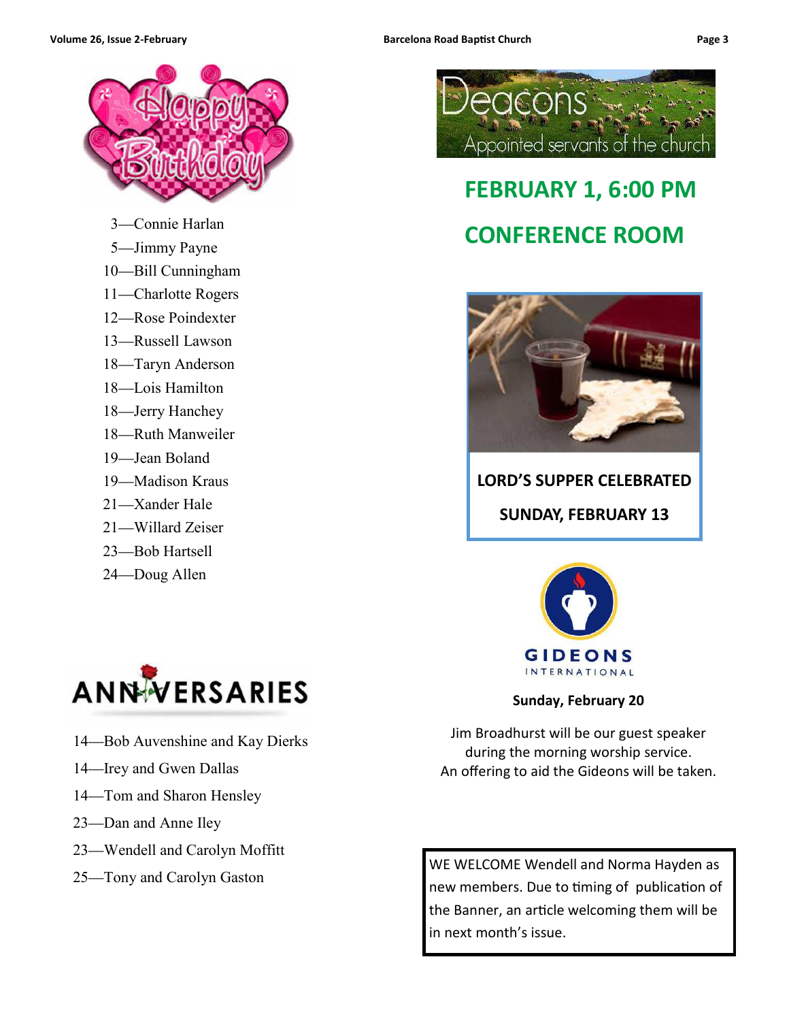



- —Connie Harlan
- —Jimmy Payne
- —Bill Cunningham
- —Charlotte Rogers
- —Rose Poindexter
- —Russell Lawson
- —Taryn Anderson
- —Lois Hamilton
- —Jerry Hanchey
- —Ruth Manweiler
- —Jean Boland
- —Madison Kraus
- —Xander Hale
- —Willard Zeiser
- —Bob Hartsell
- —Doug Allen



- —Bob Auvenshine and Kay Dierks
- —Irey and Gwen Dallas
- —Tom and Sharon Hensley
- —Dan and Anne Iley
- —Wendell and Carolyn Moffitt
- —Tony and Carolyn Gaston



### **FEBRUARY 1, 6:00 PM CONFERENCE ROOM**



### **LORD'S SUPPER CELEBRATED SUNDAY, FEBRUARY 13**



**Sunday, February 20** 

Jim Broadhurst will be our guest speaker during the morning worship service. An offering to aid the Gideons will be taken.

WE WELCOME Wendell and Norma Hayden as new members. Due to timing of publication of the Banner, an article welcoming them will be in next month's issue.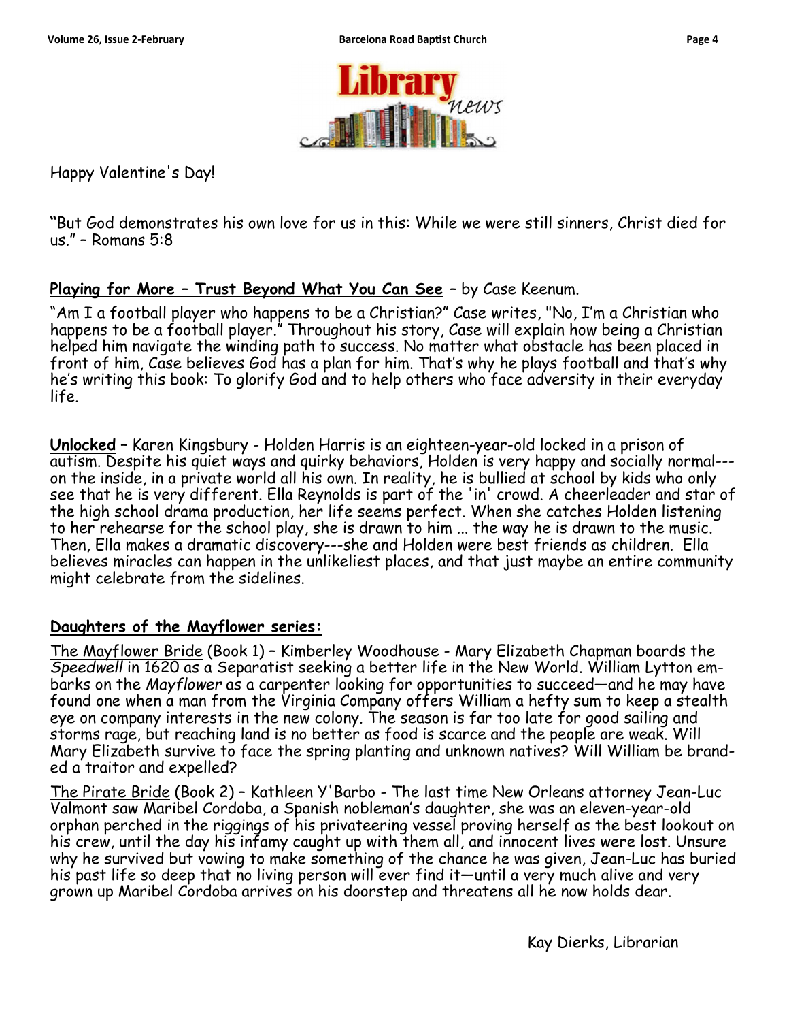

Happy Valentine's Day!

**"**But God demonstrates his own love for us in this: While we were still sinners, Christ died for us." – Romans 5:8

#### **Playing for More – Trust Beyond What You Can See** – by Case Keenum.

"Am I a football player who happens to be a Christian?" Case writes, "No, I'm a Christian who happens to be a football player." Throughout his story, Case will explain how being a Christian helped him navigate the winding path to success. No matter what obstacle has been placed in front of him, Case believes God has a plan for him. That's why he plays football and that's why he's writing this book: To glorify God and to help others who face adversity in their everyday life.

**Unlocked** – Karen Kingsbury - Holden Harris is an eighteen-year-old locked in a prison of autism. Despite his quiet ways and quirky behaviors, Holden is very happy and socially normal-- on the inside, in a private world all his own. In reality, he is bullied at school by kids who only see that he is very different. Ella Reynolds is part of the 'in' crowd. A cheerleader and star of the high school drama production, her life seems perfect. When she catches Holden listening to her rehearse for the school play, she is drawn to him ... the way he is drawn to the music. Then, Ella makes a dramatic discovery---she and Holden were best friends as children. Ella believes miracles can happen in the unlikeliest places, and that just maybe an entire community might celebrate from the sidelines.

#### **Daughters of the Mayflower series:**

The Mayflower Bride (Book 1) – Kimberley Woodhouse - Mary Elizabeth Chapman boards the *Speedwell* in 1620 as a Separatist seeking a better life in the New World. William Lytton embarks on the *Mayflower* as a carpenter looking for opportunities to succeed—and he may have found one when a man from the Virginia Company offers William a hefty sum to keep a stealth eye on company interests in the new colony. The season is far too late for good sailing and storms rage, but reaching land is no better as food is scarce and the people are weak. Will Mary Elizabeth survive to face the spring planting and unknown natives? Will William be branded a traitor and expelled?

The Pirate Bride (Book 2) – Kathleen Y'Barbo - The last time New Orleans attorney Jean-Luc Valmont saw Maribel Cordoba, a Spanish nobleman's daughter, she was an eleven-year-old orphan perched in the riggings of his privateering vessel proving herself as the best lookout on his crew, until the day his infamy caught up with them all, and innocent lives were lost. Unsure why he survived but vowing to make something of the chance he was given, Jean-Luc has buried his past life so deep that no living person will ever find it—until a very much alive and very grown up Maribel Cordoba arrives on his doorstep and threatens all he now holds dear.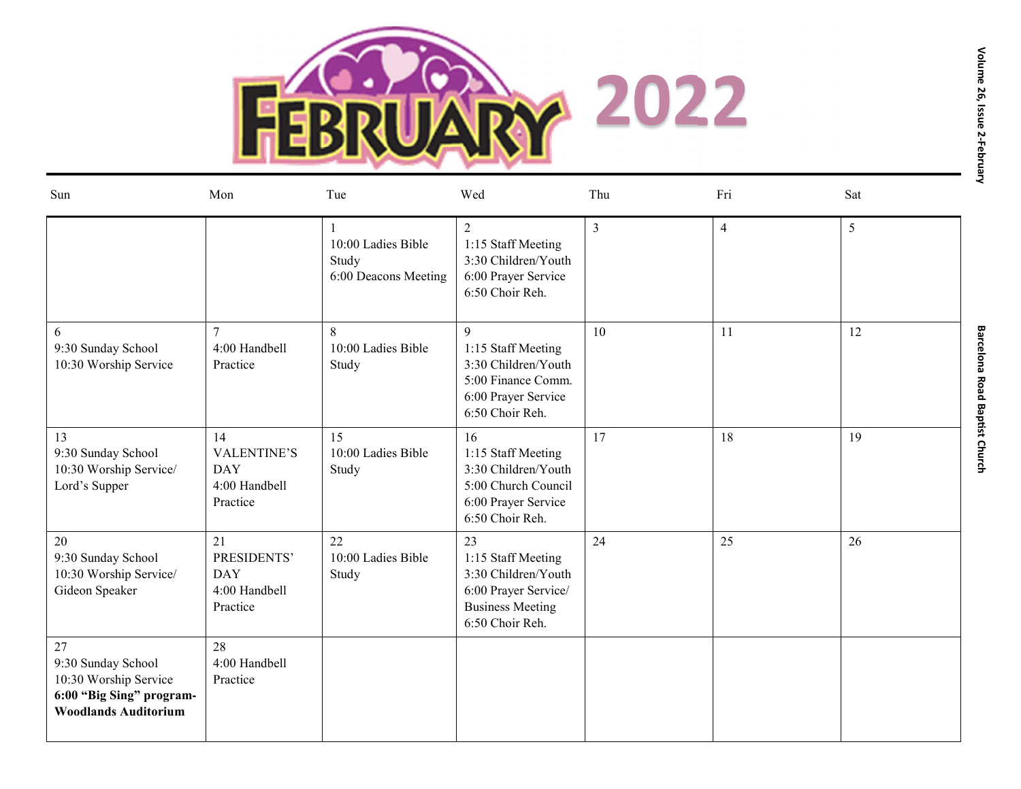

| Sun                                                                                                              | Mon                                                                 | Tue                                                 | Wed                                                                                                                   | Thu            | Fri            | Sat |  |
|------------------------------------------------------------------------------------------------------------------|---------------------------------------------------------------------|-----------------------------------------------------|-----------------------------------------------------------------------------------------------------------------------|----------------|----------------|-----|--|
|                                                                                                                  |                                                                     | 10:00 Ladies Bible<br>Study<br>6:00 Deacons Meeting | 2<br>1:15 Staff Meeting<br>3:30 Children/Youth<br>6:00 Prayer Service<br>6:50 Choir Reh.                              | $\overline{3}$ | $\overline{4}$ | 5   |  |
| 6<br>9:30 Sunday School<br>10:30 Worship Service                                                                 | $\tau$<br>4:00 Handbell<br>Practice                                 | 8<br>10:00 Ladies Bible<br>Study                    | 9<br>1:15 Staff Meeting<br>3:30 Children/Youth<br>5:00 Finance Comm.<br>6:00 Prayer Service<br>6:50 Choir Reh.        | 10             | 11             | 12  |  |
| 13<br>9:30 Sunday School<br>10:30 Worship Service/<br>Lord's Supper                                              | 14<br><b>VALENTINE'S</b><br><b>DAY</b><br>4:00 Handbell<br>Practice | 15<br>10:00 Ladies Bible<br>Study                   | 16<br>1:15 Staff Meeting<br>3:30 Children/Youth<br>5:00 Church Council<br>6:00 Prayer Service<br>6:50 Choir Reh.      | 17             | 18             | 19  |  |
| 20<br>9:30 Sunday School<br>10:30 Worship Service/<br>Gideon Speaker                                             | 21<br>PRESIDENTS'<br><b>DAY</b><br>4:00 Handbell<br>Practice        | 22<br>10:00 Ladies Bible<br>Study                   | 23<br>1:15 Staff Meeting<br>3:30 Children/Youth<br>6:00 Prayer Service/<br><b>Business Meeting</b><br>6:50 Choir Reh. | 24             | 25             | 26  |  |
| $27\,$<br>9:30 Sunday School<br>10:30 Worship Service<br>6:00 "Big Sing" program-<br><b>Woodlands Auditorium</b> | 28<br>4:00 Handbell<br>Practice                                     |                                                     |                                                                                                                       |                |                |     |  |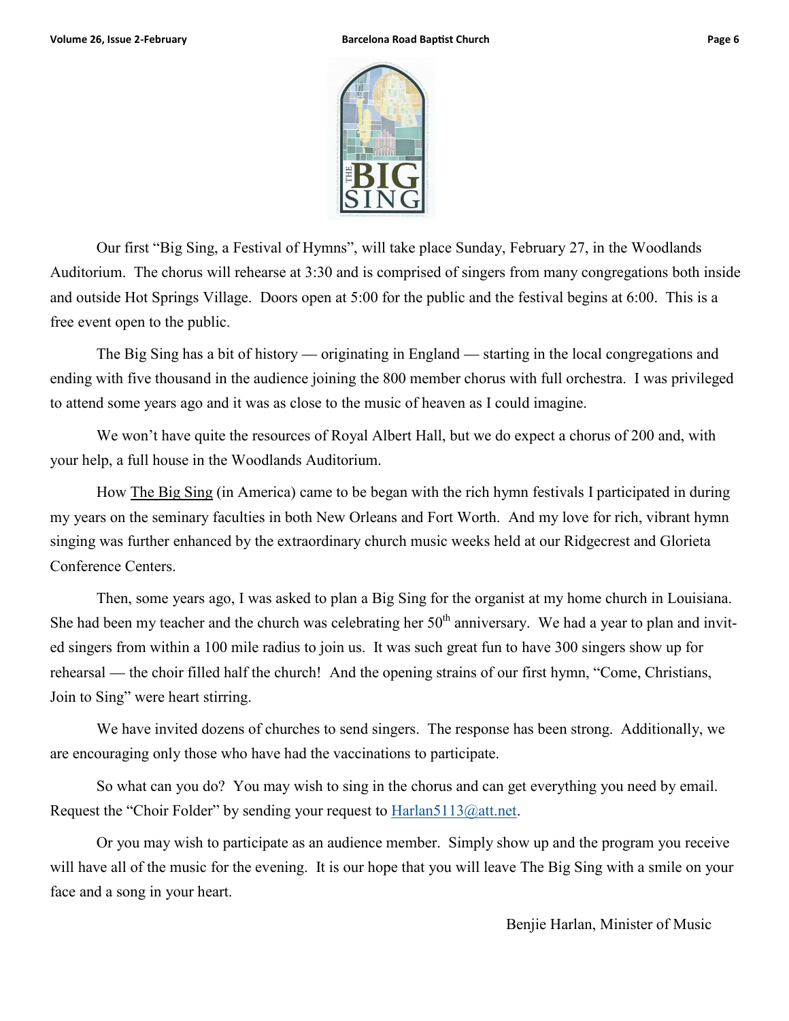



Our first "Big Sing, a Festival of Hymns", will take place Sunday, February 27, in the Woodlands Auditorium. The chorus will rehearse at 3:30 and is comprised of singers from many congregations both inside and outside Hot Springs Village. Doors open at 5:00 for the public and the festival begins at 6:00. This is a free event open to the public.

The Big Sing has a bit of history — originating in England — starting in the local congregations and ending with five thousand in the audience joining the 800 member chorus with full orchestra. I was privileged to attend some years ago and it was as close to the music of heaven as I could imagine.

We won't have quite the resources of Royal Albert Hall, but we do expect a chorus of 200 and, with your help, a full house in the Woodlands Auditorium.

How The Big Sing (in America) came to be began with the rich hymn festivals I participated in during my years on the seminary faculties in both New Orleans and Fort Worth. And my love for rich, vibrant hymn singing was further enhanced by the extraordinary church music weeks held at our Ridgecrest and Glorieta Conference Centers.

Then, some years ago, I was asked to plan a Big Sing for the organist at my home church in Louisiana. She had been my teacher and the church was celebrating her  $50<sup>th</sup>$  anniversary. We had a year to plan and invited singers from within a 100 mile radius to join us. It was such great fun to have 300 singers show up for rehearsal — the choir filled half the church! And the opening strains of our first hymn, "Come, Christians, Join to Sing" were heart stirring.

We have invited dozens of churches to send singers. The response has been strong. Additionally, we are encouraging only those who have had the vaccinations to participate.

So what can you do? You may wish to sing in the chorus and can get everything you need by email. Request the "Choir Folder" by sending your request to **Harlan5113@att.net**.

Or you may wish to participate as an audience member. Simply show up and the program you receive will have all of the music for the evening. It is our hope that you will leave The Big Sing with a smile on your face and a song in your heart.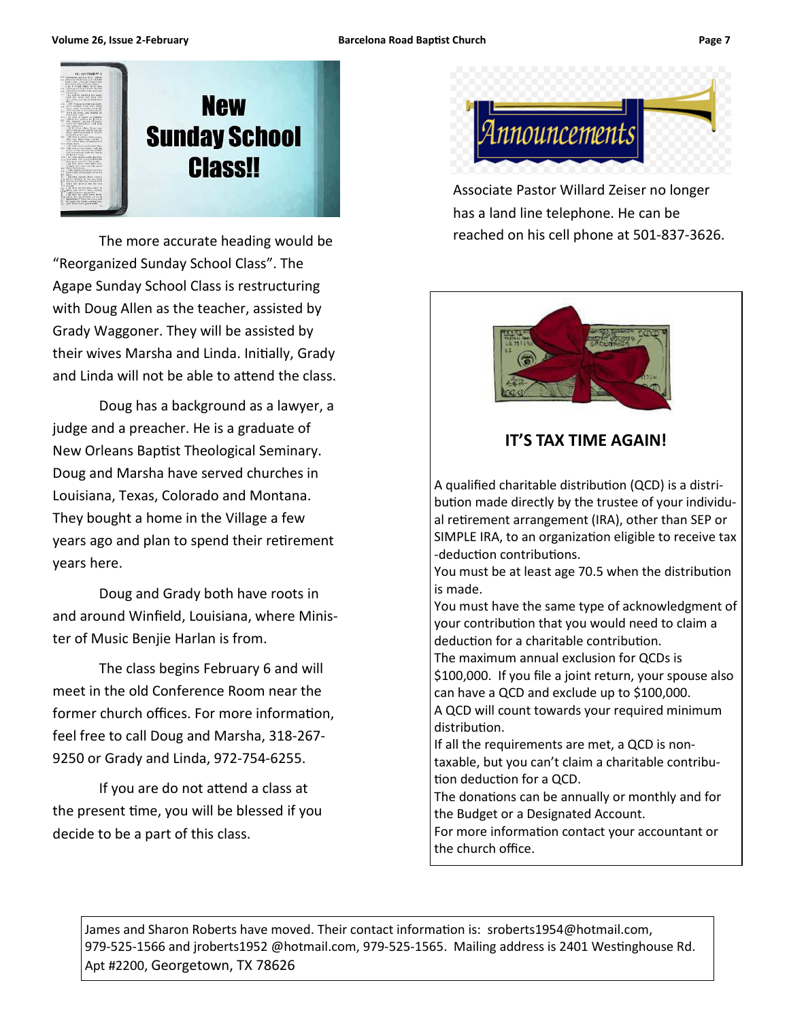

 The more accurate heading would be "Reorganized Sunday School Class". The Agape Sunday School Class is restructuring with Doug Allen as the teacher, assisted by Grady Waggoner. They will be assisted by their wives Marsha and Linda. Initially, Grady and Linda will not be able to attend the class.

 Doug has a background as a lawyer, a judge and a preacher. He is a graduate of New Orleans Baptist Theological Seminary. Doug and Marsha have served churches in Louisiana, Texas, Colorado and Montana. They bought a home in the Village a few years ago and plan to spend their retirement years here.

 Doug and Grady both have roots in and around Winfield, Louisiana, where Minister of Music Benjie Harlan is from.

 The class begins February 6 and will meet in the old Conference Room near the former church offices. For more information, feel free to call Doug and Marsha, 318-267- 9250 or Grady and Linda, 972-754-6255.

If you are do not attend a class at the present time, you will be blessed if you decide to be a part of this class.



Associate Pastor Willard Zeiser no longer has a land line telephone. He can be reached on his cell phone at 501-837-3626.



#### **IT'S TAX TIME AGAIN!**

A qualified charitable distribution (QCD) is a distribution made directly by the trustee of your individual retirement arrangement (IRA), other than SEP or SIMPLE IRA, to an organization eligible to receive tax -deduction contributions.

You must be at least age 70.5 when the distribution is made.

You must have the same type of acknowledgment of your contribution that you would need to claim a deduction for a charitable contribution.

The maximum annual exclusion for QCDs is \$100,000. If you file a joint return, your spouse also can have a QCD and exclude up to \$100,000.

A QCD will count towards your required minimum distribution.

If all the requirements are met, a QCD is nontaxable, but you can't claim a charitable contribu tion deduction for a QCD.

The donations can be annually or monthly and for the Budget or a Designated Account.

For more information contact your accountant or the church office.

James and Sharon Roberts have moved. Their contact information is: sroberts1954@hotmail.com, 979-525-1566 and jroberts1952 @hotmail.com, 979-525-1565. Mailing address is 2401 Westinghouse Rd. Apt #2200, Georgetown, TX 78626